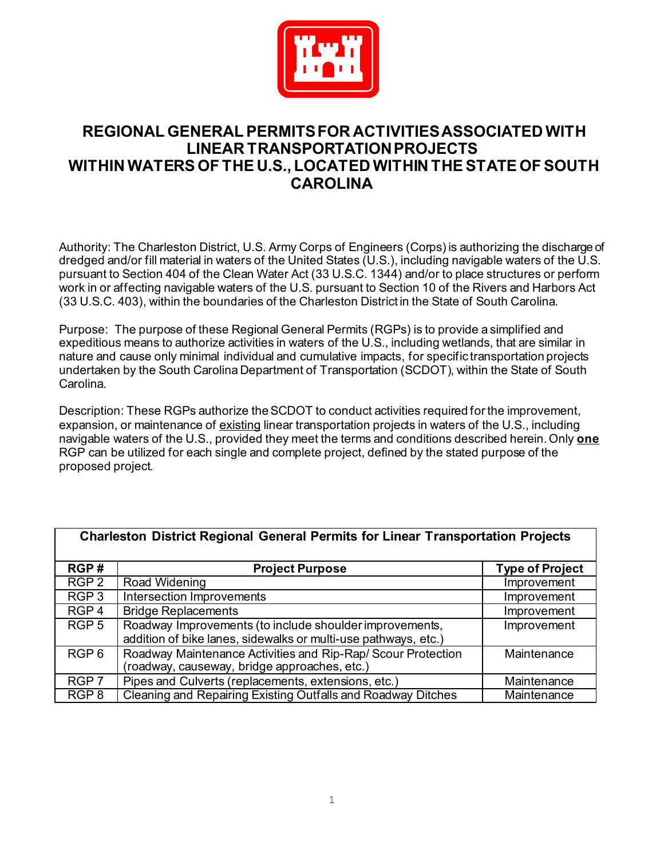

# **REGIONAL GENERAL PERMITS FOR ACTIVITIESASSOCIATED WITH LINEAR TRANSPORTATION PROJECTS WITHIN WATERS OF THE U.S., LOCATED WITHIN THE STATE OF SOUTH CAROLINA**

Authority: The Charleston District, U.S. Army Corps of Engineers (Corps) is authorizing the discharge of dredged and/or fill material in waters of the United States (U.S.), including navigable waters of the U.S. pursuant to Section 404 of the Clean Water Act (33 U.S.C. 1344) and/or to place structures or perform work in or affecting navigable waters of the U.S. pursuant to Section 10 of the Rivers and Harbors Act (33 U.S.C. 403), within the boundaries of the Charleston District in the State of South Carolina.

Purpose: The purpose of these Regional General Permits (RGPs) is to provide a simplified and expeditious means to authorize activities in waters of the U.S., including wetlands, that are similar in nature and cause only minimal individual and cumulative impacts, for specific transportation projects undertaken by the South Carolina Department of Transportation (SCDOT), within the State of South Carolina.

Description: These RGPs authorize the SCDOT to conduct activities required for the improvement, expansion, or maintenance of existing linear transportation projects in waters of the U.S., including navigable waters of the U.S., provided they meet the terms and conditions described herein. Only **one**  RGP can be utilized for each single and complete project, defined by the stated purpose of the proposed project.

|                  | <b>Charleston District Regional General Permits for Linear Transportation Projects</b>                                    |                        |
|------------------|---------------------------------------------------------------------------------------------------------------------------|------------------------|
| RGP#             | <b>Project Purpose</b>                                                                                                    | <b>Type of Project</b> |
| RGP <sub>2</sub> | Road Widening                                                                                                             | Improvement            |
| RGP <sub>3</sub> | Intersection Improvements                                                                                                 | Improvement            |
| RGP <sub>4</sub> | <b>Bridge Replacements</b>                                                                                                | Improvement            |
| RGP <sub>5</sub> | Roadway Improvements (to include shoulder improvements,<br>addition of bike lanes, sidewalks or multi-use pathways, etc.) | Improvement            |
| RGP <sub>6</sub> | Roadway Maintenance Activities and Rip-Rap/ Scour Protection<br>(roadway, causeway, bridge approaches, etc.)              | Maintenance            |
| RGP <sub>7</sub> | Pipes and Culverts (replacements, extensions, etc.)                                                                       | Maintenance            |
| RGP <sub>8</sub> | Cleaning and Repairing Existing Outfalls and Roadway Ditches                                                              | Maintenance            |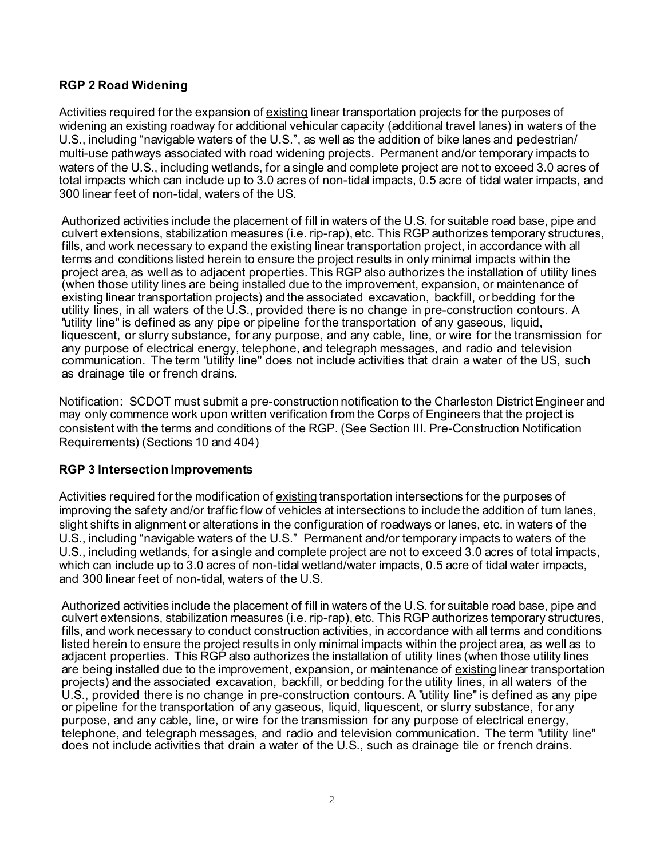#### **RGP 2 Road Widening**

Activities required for the expansion of existing linear transportation projects for the purposes of widening an existing roadway for additional vehicular capacity (additional travel lanes) in waters of the U.S., including "navigable waters of the U.S.", as well as the addition of bike lanes and pedestrian/ multi-use pathways associated with road widening projects. Permanent and/or temporary impacts to waters of the U.S., including wetlands, for a single and complete project are not to exceed 3.0 acres of total impacts which can include up to 3.0 acres of non-tidal impacts, 0.5 acre of tidal water impacts, and 300 linear feet of non-tidal, waters of the US.

Authorized activities include the placement of fill in waters of the U.S. for suitable road base, pipe and culvert extensions, stabilization measures (i.e. rip-rap), etc. This RGP authorizes temporary structures, fills, and work necessary to expand the existing linear transportation project, in accordance with all terms and conditions listed herein to ensure the project results in only minimal impacts within the project area, as well as to adjacent properties. This RGP also authorizes the installation of utility lines (when those utility lines are being installed due to the improvement, expansion, or maintenance of existing linear transportation projects) and the associated excavation, backfill, or bedding for the utility lines, in all waters of the U.S., provided there is no change in pre-construction contours. A "utility line" is defined as any pipe or pipeline for the transportation of any gaseous, liquid, liquescent, or slurry substance, for any purpose, and any cable, line, or wire for the transmission for any purpose of electrical energy, telephone, and telegraph messages, and radio and television communication. The term "utility line" does not include activities that drain a water of the US, such as drainage tile or french drains.

Notification: SCDOT must submit a pre-construction notification to the Charleston District Engineer and may only commence work upon written verification from the Corps of Engineers that the project is consistent with the terms and conditions of the RGP. (See Section III. Pre-Construction Notification Requirements) (Sections 10 and 404)

#### **RGP 3 Intersection Improvements**

Activities required for the modification of existing transportation intersections for the purposes of improving the safety and/or traffic flow of vehicles at intersections to include the addition of turn lanes, slight shifts in alignment or alterations in the configuration of roadways or lanes, etc. in waters of the U.S., including "navigable waters of the U.S." Permanent and/or temporary impacts to waters of the U.S., including wetlands, for a single and complete project are not to exceed 3.0 acres of total impacts, which can include up to 3.0 acres of non-tidal wetland/water impacts, 0.5 acre of tidal water impacts, and 300 linear feet of non-tidal, waters of the U.S.

Authorized activities include the placement of fill in waters of the U.S. for suitable road base, pipe and culvert extensions, stabilization measures (i.e. rip-rap), etc. This RGP authorizes temporary structures, fills, and work necessary to conduct construction activities, in accordance with all terms and conditions listed herein to ensure the project results in only minimal impacts within the project area, as well as to adjacent properties. This RGP also authorizes the installation of utility lines (when those utility lines are being installed due to the improvement, expansion, or maintenance of existing linear transportation projects) and the associated excavation, backfill, or bedding for the utility lines, in all waters of the U.S., provided there is no change in pre-construction contours. A "utility line" is defined as any pipe or pipeline for the transportation of any gaseous, liquid, liquescent, or slurry substance, for any purpose, and any cable, line, or wire for the transmission for any purpose of electrical energy, telephone, and telegraph messages, and radio and television communication. The term "utility line" does not include activities that drain a water of the U.S., such as drainage tile or french drains.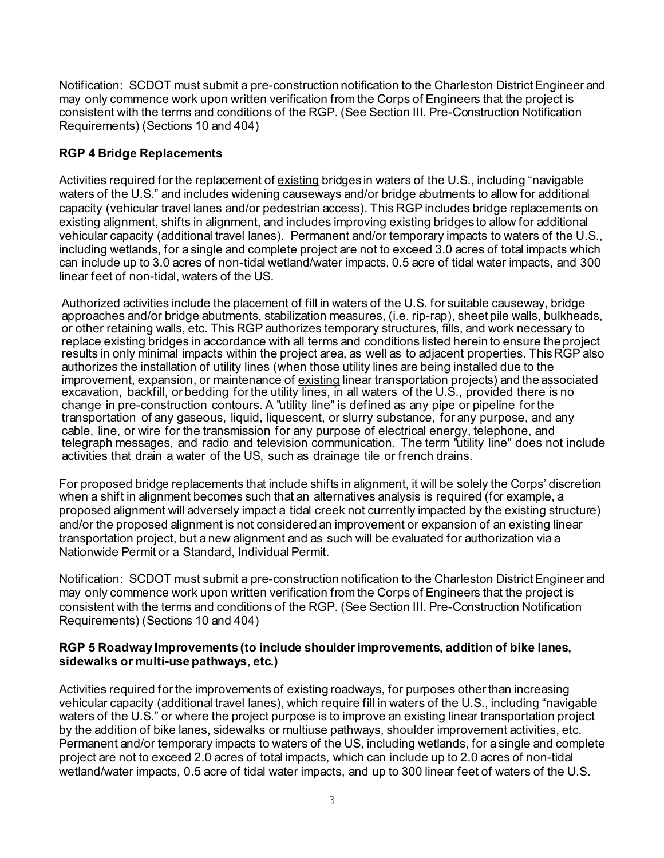Notification: SCDOT must submit a pre-construction notification to the Charleston District Engineer and may only commence work upon written verification from the Corps of Engineers that the project is consistent with the terms and conditions of the RGP. (See Section III. Pre-Construction Notification Requirements) (Sections 10 and 404)

## **RGP 4 Bridge Replacements**

Activities required for the replacement of existing bridges in waters of the U.S., including "navigable waters of the U.S." and includes widening causeways and/or bridge abutments to allow for additional capacity (vehicular travel lanes and/or pedestrian access). This RGP includes bridge replacements on existing alignment, shifts in alignment, and includes improving existing bridges to allow for additional vehicular capacity (additional travel lanes). Permanent and/or temporary impacts to waters of the U.S., including wetlands, for a single and complete project are not to exceed 3.0 acres of total impacts which can include up to 3.0 acres of non-tidal wetland/water impacts, 0.5 acre of tidal water impacts, and 300 linear feet of non-tidal, waters of the US.

Authorized activities include the placement of fill in waters of the U.S. for suitable causeway, bridge approaches and/or bridge abutments, stabilization measures, (i.e. rip-rap), sheet pile walls, bulkheads, or other retaining walls, etc. This RGP authorizes temporary structures, fills, and work necessary to replace existing bridges in accordance with all terms and conditions listed herein to ensure the project results in only minimal impacts within the project area, as well as to adjacent properties. This RGP also authorizes the installation of utility lines (when those utility lines are being installed due to the improvement, expansion, or maintenance of existing linear transportation projects) and the associated excavation, backfill, or bedding for the utility lines, in all waters of the U.S., provided there is no change in pre-construction contours. A "utility line" is defined as any pipe or pipeline for the transportation of any gaseous, liquid, liquescent, or slurry substance, for any purpose, and any cable, line, or wire for the transmission for any purpose of electrical energy, telephone, and telegraph messages, and radio and television communication. The term "utility line" does not include activities that drain a water of the US, such as drainage tile or french drains.

For proposed bridge replacements that include shifts in alignment, it will be solely the Corps' discretion when a shift in alignment becomes such that an alternatives analysis is required (for example, a proposed alignment will adversely impact a tidal creek not currently impacted by the existing structure) and/or the proposed alignment is not considered an improvement or expansion of an existing linear transportation project, but a new alignment and as such will be evaluated for authorization via a Nationwide Permit or a Standard, Individual Permit.

Notification: SCDOT must submit a pre-construction notification to the Charleston District Engineer and may only commence work upon written verification from the Corps of Engineers that the project is consistent with the terms and conditions of the RGP. (See Section III. Pre-Construction Notification Requirements) (Sections 10 and 404)

#### **RGP 5 Roadway Improvements (to include shoulder improvements, addition of bike lanes, sidewalks or multi-use pathways, etc.)**

Activities required for the improvements of existing roadways, for purposes other than increasing vehicular capacity (additional travel lanes), which require fill in waters of the U.S., including "navigable waters of the U.S." or where the project purpose is to improve an existing linear transportation project by the addition of bike lanes, sidewalks or multiuse pathways, shoulder improvement activities, etc. Permanent and/or temporary impacts to waters of the US, including wetlands, for a single and complete project are not to exceed 2.0 acres of total impacts, which can include up to 2.0 acres of non-tidal wetland/water impacts, 0.5 acre of tidal water impacts, and up to 300 linear feet of waters of the U.S.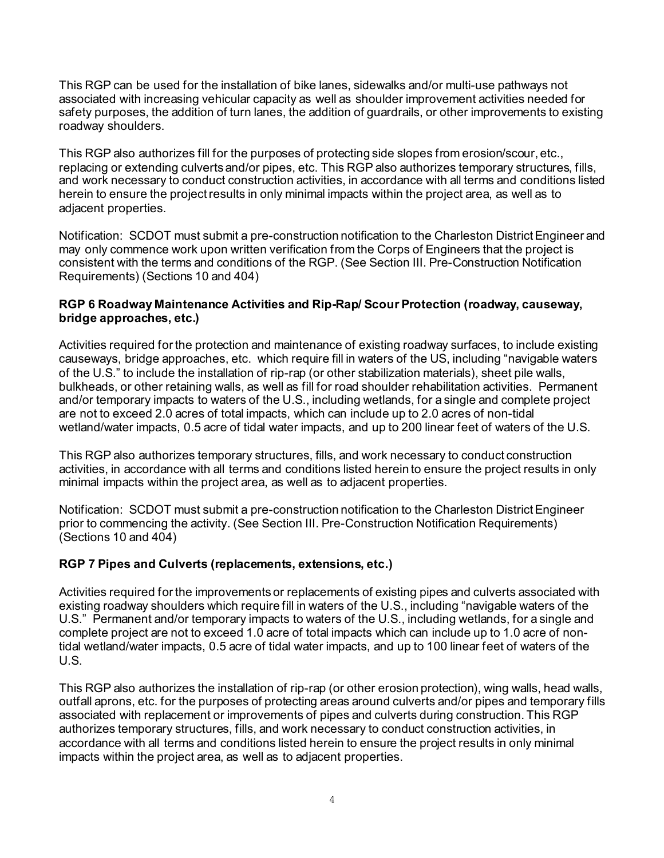This RGP can be used for the installation of bike lanes, sidewalks and/or multi-use pathways not associated with increasing vehicular capacity as well as shoulder improvement activities needed for safety purposes, the addition of turn lanes, the addition of guardrails, or other improvements to existing roadway shoulders.

This RGP also authorizes fill for the purposes of protecting side slopes from erosion/scour, etc., replacing or extending culverts and/or pipes, etc. This RGP also authorizes temporary structures, fills, and work necessary to conduct construction activities, in accordance with all terms and conditions listed herein to ensure the project results in only minimal impacts within the project area, as well as to adjacent properties.

Notification: SCDOT must submit a pre-construction notification to the Charleston District Engineer and may only commence work upon written verification from the Corps of Engineers that the project is consistent with the terms and conditions of the RGP. (See Section III. Pre-Construction Notification Requirements) (Sections 10 and 404)

#### **RGP 6 Roadway Maintenance Activities and Rip-Rap/ Scour Protection (roadway, causeway, bridge approaches, etc.)**

Activities required for the protection and maintenance of existing roadway surfaces, to include existing causeways, bridge approaches, etc. which require fill in waters of the US, including "navigable waters of the U.S." to include the installation of rip-rap (or other stabilization materials), sheet pile walls, bulkheads, or other retaining walls, as well as fill for road shoulder rehabilitation activities. Permanent and/or temporary impacts to waters of the U.S., including wetlands, for a single and complete project are not to exceed 2.0 acres of total impacts, which can include up to 2.0 acres of non-tidal wetland/water impacts, 0.5 acre of tidal water impacts, and up to 200 linear feet of waters of the U.S.

This RGP also authorizes temporary structures, fills, and work necessary to conduct construction activities, in accordance with all terms and conditions listed herein to ensure the project results in only minimal impacts within the project area, as well as to adjacent properties.

Notification: SCDOT must submit a pre-construction notification to the Charleston District Engineer prior to commencing the activity. (See Section III. Pre-Construction Notification Requirements) (Sections 10 and 404)

## **RGP 7 Pipes and Culverts (replacements, extensions, etc.)**

Activities required for the improvements or replacements of existing pipes and culverts associated with existing roadway shoulders which require fill in waters of the U.S., including "navigable waters of the U.S." Permanent and/or temporary impacts to waters of the U.S., including wetlands, for a single and complete project are not to exceed 1.0 acre of total impacts which can include up to 1.0 acre of nontidal wetland/water impacts, 0.5 acre of tidal water impacts, and up to 100 linear feet of waters of the U.S.

This RGP also authorizes the installation of rip-rap (or other erosion protection), wing walls, head walls, outfall aprons, etc. for the purposes of protecting areas around culverts and/or pipes and temporary fills associated with replacement or improvements of pipes and culverts during construction. This RGP authorizes temporary structures, fills, and work necessary to conduct construction activities, in accordance with all terms and conditions listed herein to ensure the project results in only minimal impacts within the project area, as well as to adjacent properties.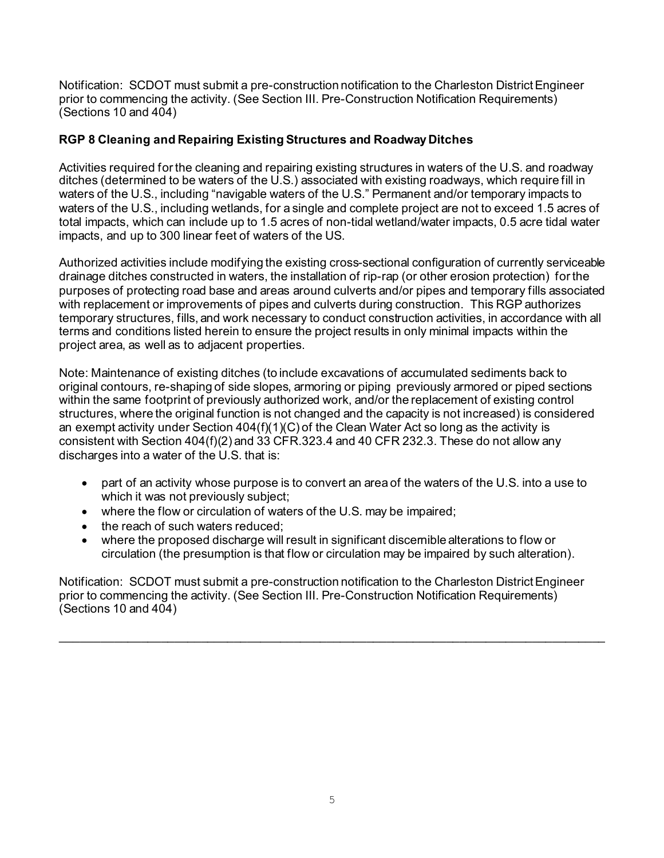Notification: SCDOT must submit a pre-construction notification to the Charleston District Engineer prior to commencing the activity. (See Section III. Pre-Construction Notification Requirements) (Sections 10 and 404)

# **RGP 8 Cleaning and Repairing Existing Structures and Roadway Ditches**

Activities required for the cleaning and repairing existing structures in waters of the U.S. and roadway ditches (determined to be waters of the U.S.) associated with existing roadways, which require fill in waters of the U.S., including "navigable waters of the U.S." Permanent and/or temporary impacts to waters of the U.S., including wetlands, for a single and complete project are not to exceed 1.5 acres of total impacts, which can include up to 1.5 acres of non-tidal wetland/water impacts, 0.5 acre tidal water impacts, and up to 300 linear feet of waters of the US.

Authorized activities include modifying the existing cross-sectional configuration of currently serviceable drainage ditches constructed in waters, the installation of rip-rap (or other erosion protection) for the purposes of protecting road base and areas around culverts and/or pipes and temporary fills associated with replacement or improvements of pipes and culverts during construction. This RGP authorizes temporary structures, fills, and work necessary to conduct construction activities, in accordance with all terms and conditions listed herein to ensure the project results in only minimal impacts within the project area, as well as to adjacent properties.

Note: Maintenance of existing ditches (to include excavations of accumulated sediments back to original contours, re-shaping of side slopes, armoring or piping previously armored or piped sections within the same footprint of previously authorized work, and/or the replacement of existing control structures, where the original function is not changed and the capacity is not increased) is considered an exempt activity under Section 404(f)(1)(C) of the Clean Water Act so long as the activity is consistent with Section 404(f)(2) and 33 CFR.323.4 and 40 CFR 232.3. These do not allow any discharges into a water of the U.S. that is:

- part of an activity whose purpose is to convert an area of the waters of the U.S. into a use to which it was not previously subject;
- where the flow or circulation of waters of the U.S. may be impaired;
- the reach of such waters reduced:
- where the proposed discharge will result in significant discernible alterations to flow or circulation (the presumption is that flow or circulation may be impaired by such alteration).

Notification: SCDOT must submit a pre-construction notification to the Charleston District Engineer prior to commencing the activity. (See Section III. Pre-Construction Notification Requirements) (Sections 10 and 404)

\_\_\_\_\_\_\_\_\_\_\_\_\_\_\_\_\_\_\_\_\_\_\_\_\_\_\_\_\_\_\_\_\_\_\_\_\_\_\_\_\_\_\_\_\_\_\_\_\_\_\_\_\_\_\_\_\_\_\_\_\_\_\_\_\_\_\_\_\_\_\_\_\_\_\_\_\_\_\_\_\_\_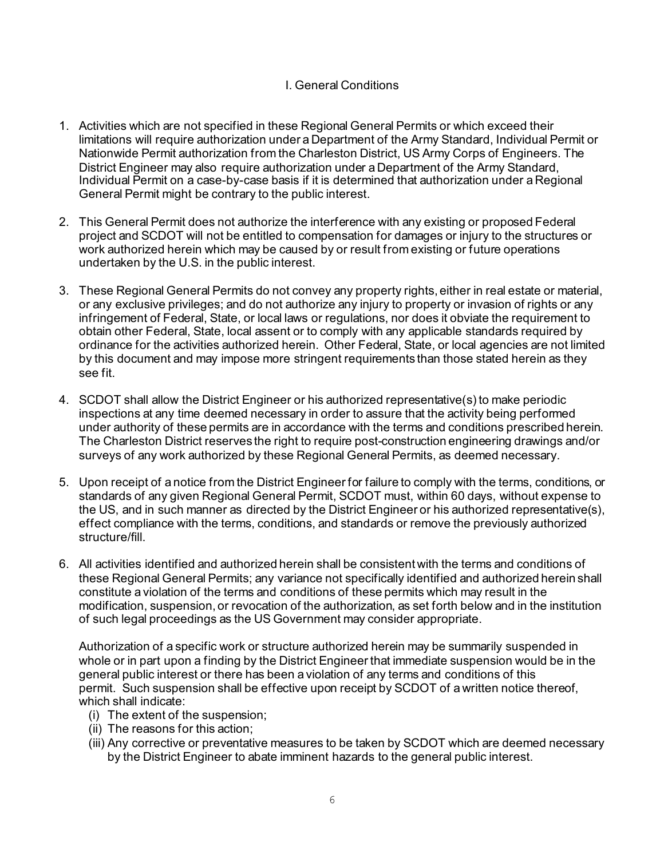#### I. General Conditions

- 1. Activities which are not specified in these Regional General Permits or which exceed their limitations will require authorization under a Department of the Army Standard, Individual Permit or Nationwide Permit authorization from the Charleston District, US Army Corps of Engineers. The District Engineer may also require authorization under a Department of the Army Standard, Individual Permit on a case-by-case basis if it is determined that authorization under a Regional General Permit might be contrary to the public interest.
- 2. This General Permit does not authorize the interference with any existing or proposed Federal project and SCDOT will not be entitled to compensation for damages or injury to the structures or work authorized herein which may be caused by or result from existing or future operations undertaken by the U.S. in the public interest.
- 3. These Regional General Permits do not convey any property rights, either in real estate or material, or any exclusive privileges; and do not authorize any injury to property or invasion of rights or any infringement of Federal, State, or local laws or regulations, nor does it obviate the requirement to obtain other Federal, State, local assent or to comply with any applicable standards required by ordinance for the activities authorized herein. Other Federal, State, or local agencies are not limited by this document and may impose more stringent requirements than those stated herein as they see fit.
- 4. SCDOT shall allow the District Engineer or his authorized representative(s) to make periodic inspections at any time deemed necessary in order to assure that the activity being performed under authority of these permits are in accordance with the terms and conditions prescribed herein. The Charleston District reserves the right to require post-construction engineering drawings and/or surveys of any work authorized by these Regional General Permits, as deemed necessary.
- 5. Upon receipt of a notice from the District Engineer for failure to comply with the terms, conditions, or standards of any given Regional General Permit, SCDOT must, within 60 days, without expense to the US, and in such manner as directed by the District Engineer or his authorized representative(s), effect compliance with the terms, conditions, and standards or remove the previously authorized structure/fill.
- 6. All activities identified and authorized herein shall be consistent with the terms and conditions of these Regional General Permits; any variance not specifically identified and authorized herein shall constitute a violation of the terms and conditions of these permits which may result in the modification, suspension, or revocation of the authorization, as set forth below and in the institution of such legal proceedings as the US Government may consider appropriate.

Authorization of a specific work or structure authorized herein may be summarily suspended in whole or in part upon a finding by the District Engineer that immediate suspension would be in the general public interest or there has been a violation of any terms and conditions of this permit. Such suspension shall be effective upon receipt by SCDOT of a written notice thereof, which shall indicate:

- (i) The extent of the suspension;
- (ii) The reasons for this action;
- (iii) Any corrective or preventative measures to be taken by SCDOT which are deemed necessary by the District Engineer to abate imminent hazards to the general public interest.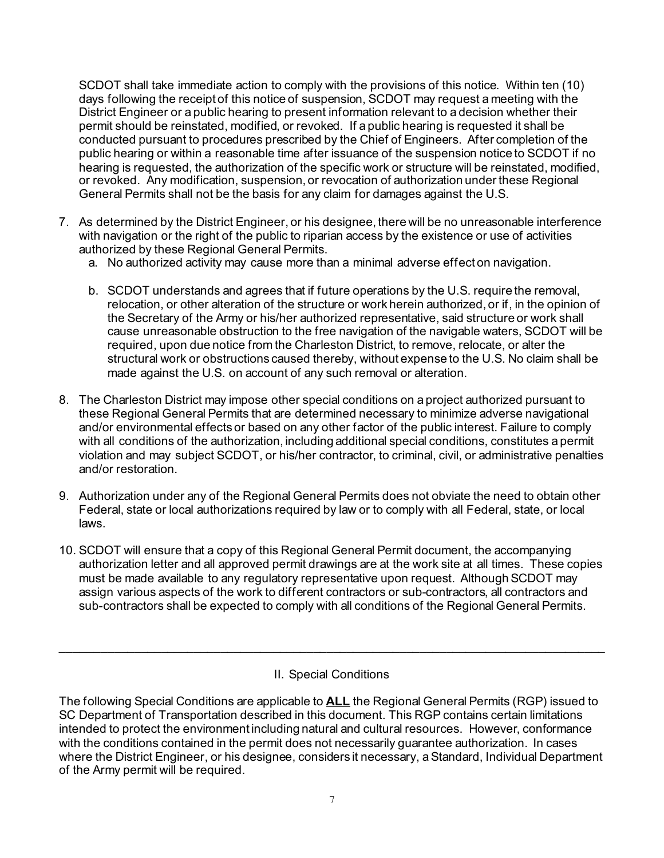SCDOT shall take immediate action to comply with the provisions of this notice. Within ten (10) days following the receipt of this notice of suspension, SCDOT may request a meeting with the District Engineer or a public hearing to present information relevant to a decision whether their permit should be reinstated, modified, or revoked. If a public hearing is requested it shall be conducted pursuant to procedures prescribed by the Chief of Engineers. After completion of the public hearing or within a reasonable time after issuance of the suspension notice to SCDOT if no hearing is requested, the authorization of the specific work or structure will be reinstated, modified, or revoked. Any modification, suspension, or revocation of authorization under these Regional General Permits shall not be the basis for any claim for damages against the U.S.

- 7. As determined by the District Engineer, or his designee, there will be no unreasonable interference with navigation or the right of the public to riparian access by the existence or use of activities authorized by these Regional General Permits.
	- a. No authorized activity may cause more than a minimal adverse effect on navigation.
	- b. SCDOT understands and agrees that if future operations by the U.S. require the removal, relocation, or other alteration of the structure or work herein authorized, or if, in the opinion of the Secretary of the Army or his/her authorized representative, said structure or work shall cause unreasonable obstruction to the free navigation of the navigable waters, SCDOT will be required, upon due notice from the Charleston District, to remove, relocate, or alter the structural work or obstructions caused thereby, without expense to the U.S. No claim shall be made against the U.S. on account of any such removal or alteration.
- 8. The Charleston District may impose other special conditions on a project authorized pursuant to these Regional General Permits that are determined necessary to minimize adverse navigational and/or environmental effects or based on any other factor of the public interest. Failure to comply with all conditions of the authorization, including additional special conditions, constitutes a permit violation and may subject SCDOT, or his/her contractor, to criminal, civil, or administrative penalties and/or restoration.
- 9. Authorization under any of the Regional General Permits does not obviate the need to obtain other Federal, state or local authorizations required by law or to comply with all Federal, state, or local laws.
- 10. SCDOT will ensure that a copy of this Regional General Permit document, the accompanying authorization letter and all approved permit drawings are at the work site at all times. These copies must be made available to any regulatory representative upon request. Although SCDOT may assign various aspects of the work to different contractors or sub-contractors, all contractors and sub-contractors shall be expected to comply with all conditions of the Regional General Permits.

## II. Special Conditions

\_\_\_\_\_\_\_\_\_\_\_\_\_\_\_\_\_\_\_\_\_\_\_\_\_\_\_\_\_\_\_\_\_\_\_\_\_\_\_\_\_\_\_\_\_\_\_\_\_\_\_\_\_\_\_\_\_\_\_\_\_\_\_\_\_\_\_\_\_\_\_\_\_\_\_\_\_\_\_\_\_\_

The following Special Conditions are applicable to **ALL** the Regional General Permits (RGP) issued to <br>SC Department of Transportation described in this decument. This BCD contains sertain limitations SC Department of Transportation described in this document. This RGP contains certain limitations intended to protect the environment including natural and cultural resources. However, conformance with the conditions contained in the permit does not necessarily quarantee authorization. In cases where the District Engineer, or his designee, considers it necessary, a Standard, Individual Department of the Army permit will be required.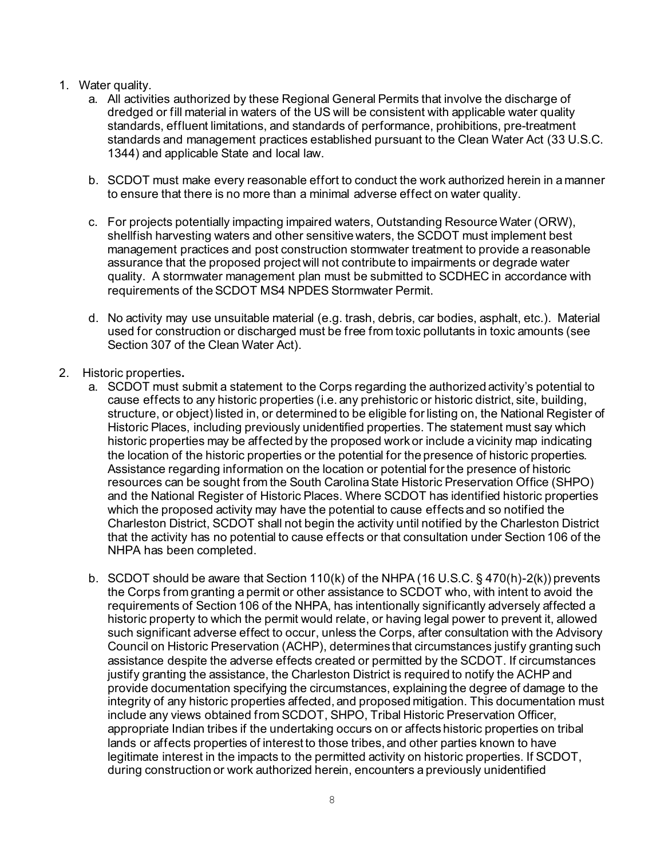#### 1. Water quality.

- a. All activities authorized by these Regional General Permits that involve the discharge of dredged or fill material in waters of the US will be consistent with applicable water quality standards, effluent limitations, and standards of performance, prohibitions, pre-treatment standards and management practices established pursuant to the Clean Water Act (33 U.S.C. 1344) and applicable State and local law.
- b. SCDOT must make every reasonable effort to conduct the work authorized herein in a manner to ensure that there is no more than a minimal adverse effect on water quality.
- c. For projects potentially impacting impaired waters, Outstanding Resource Water (ORW), shellfish harvesting waters and other sensitive waters, the SCDOT must implement best management practices and post construction stormwater treatment to provide a reasonable assurance that the proposed project will not contribute to impairments or degrade water quality. A stormwater management plan must be submitted to SCDHEC in accordance with requirements of the SCDOT MS4 NPDES Stormwater Permit.
- d. No activity may use unsuitable material (e.g. trash, debris, car bodies, asphalt, etc.). Material used for construction or discharged must be free from toxic pollutants in toxic amounts (see Section 307 of the Clean Water Act).
- 2. Historic properties**.** 
	- a. SCDOT must submit a statement to the Corps regarding the authorized activity's potential to cause effects to any historic properties (i.e. any prehistoric or historic district, site, building, structure, or object) listed in, or determined to be eligible for listing on, the National Register of Historic Places, including previously unidentified properties. The statement must say which historic properties may be affected by the proposed work or include a vicinity map indicating the location of the historic properties or the potential for the presence of historic properties. Assistance regarding information on the location or potential for the presence of historic resources can be sought from the South Carolina State Historic Preservation Office (SHPO) and the National Register of Historic Places. Where SCDOT has identified historic properties which the proposed activity may have the potential to cause effects and so notified the Charleston District, SCDOT shall not begin the activity until notified by the Charleston District that the activity has no potential to cause effects or that consultation under Section 106 of the NHPA has been completed.
	- b. SCDOT should be aware that Section 110(k) of the NHPA (16 U.S.C. § 470(h)-2(k)) prevents the Corps from granting a permit or other assistance to SCDOT who, with intent to avoid the requirements of Section 106 of the NHPA, has intentionally significantly adversely affected a historic property to which the permit would relate, or having legal power to prevent it, allowed such significant adverse effect to occur, unless the Corps, after consultation with the Advisory Council on Historic Preservation (ACHP), determines that circumstances justify granting such assistance despite the adverse effects created or permitted by the SCDOT. If circumstances justify granting the assistance, the Charleston District is required to notify the ACHP and provide documentation specifying the circumstances, explaining the degree of damage to the integrity of any historic properties affected, and proposed mitigation. This documentation must include any views obtained from SCDOT, SHPO, Tribal Historic Preservation Officer, appropriate Indian tribes if the undertaking occurs on or affects historic properties on tribal lands or affects properties of interest to those tribes, and other parties known to have legitimate interest in the impacts to the permitted activity on historic properties. If SCDOT, during construction or work authorized herein, encounters a previously unidentified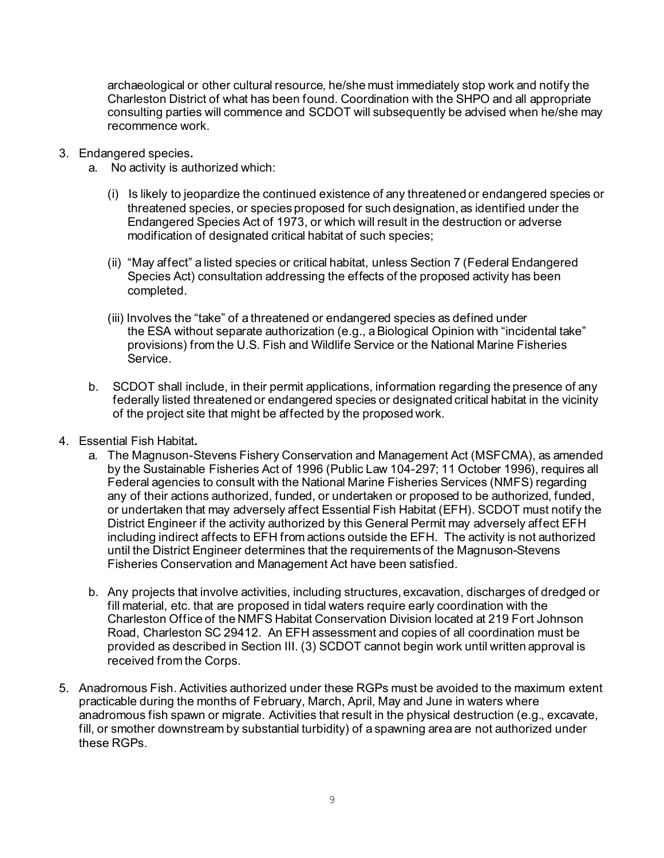archaeological or other cultural resource, he/she must immediately stop work and notify the Charleston District of what has been found. Coordination with the SHPO and all appropriate consulting parties will commence and SCDOT will subsequently be advised when he/she may recommence work.

- 3. Endangered species**.** 
	- a. No activity is authorized which:
		- (i) Is likely to jeopardize the continued existence of any threatened or endangered species or threatened species, or species proposed for such designation, as identified under the Endangered Species Act of 1973, or which will result in the destruction or adverse modification of designated critical habitat of such species;
		- (ii) "May affect" a listed species or critical habitat, unless Section 7 (Federal Endangered Species Act) consultation addressing the effects of the proposed activity has been completed.
		- (iii) Involves the "take" of a threatened or endangered species as defined under the ESA without separate authorization (e.g., a Biological Opinion with "incidental take" provisions) from the U.S. Fish and Wildlife Service or the National Marine Fisheries Service.
	- b. SCDOT shall include, in their permit applications, information regarding the presence of any federally listed threatened or endangered species or designated critical habitat in the vicinity of the project site that might be affected by the proposed work.
- 4. Essential Fish Habitat**.** 
	- a. The Magnuson-Stevens Fishery Conservation and Management Act (MSFCMA), as amended by the Sustainable Fisheries Act of 1996 (Public Law 104-297; 11 October 1996), requires all Federal agencies to consult with the National Marine Fisheries Services (NMFS) regarding any of their actions authorized, funded, or undertaken or proposed to be authorized, funded, or undertaken that may adversely affect Essential Fish Habitat (EFH). SCDOT must notify the District Engineer if the activity authorized by this General Permit may adversely affect EFH including indirect affects to EFH from actions outside the EFH. The activity is not authorized until the District Engineer determines that the requirements of the Magnuson-Stevens Fisheries Conservation and Management Act have been satisfied.
	- b. Any projects that involve activities, including structures, excavation, discharges of dredged or fill material, etc. that are proposed in tidal waters require early coordination with the Charleston Office of the NMFS Habitat Conservation Division located at 219 Fort Johnson Road, Charleston SC 29412. An EFH assessment and copies of all coordination must be provided as described in Section III. (3) SCDOT cannot begin work until written approval is received from the Corps.
- 5. Anadromous Fish. Activities authorized under these RGPs must be avoided to the maximum extent practicable during the months of February, March, April, May and June in waters where anadromous fish spawn or migrate. Activities that result in the physical destruction (e.g., excavate, fill, or smother downstream by substantial turbidity) of a spawning area are not authorized under these RGPs.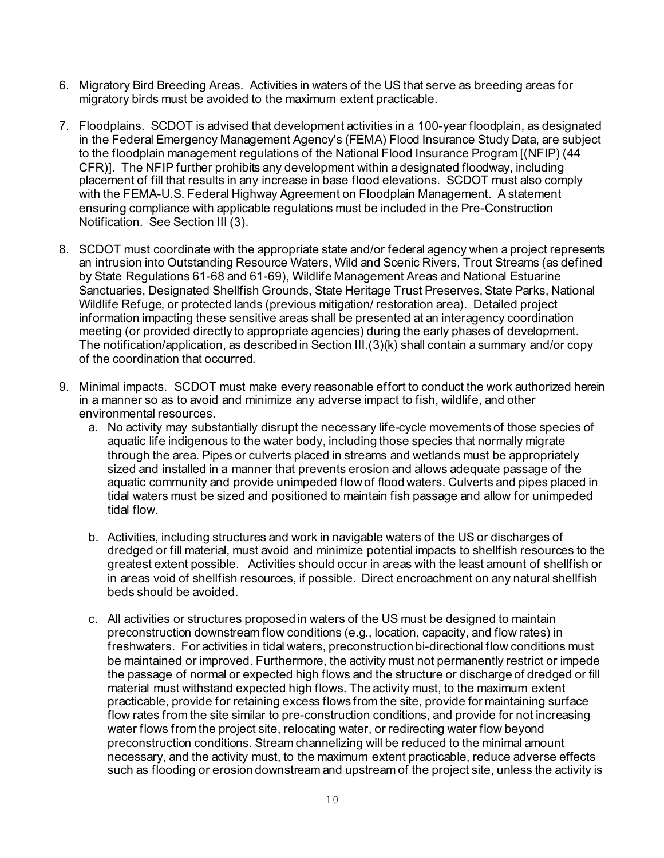- 6. Migratory Bird Breeding Areas. Activities in waters of the US that serve as breeding areas for migratory birds must be avoided to the maximum extent practicable.
- 7. Floodplains. SCDOT is advised that development activities in a 100-year floodplain, as designated in the Federal Emergency Management Agency's (FEMA) Flood Insurance Study Data, are subject to the floodplain management regulations of the National Flood Insurance Program [(NFIP) (44 CFR)]. The NFIP further prohibits any development within a designated floodway, including placement of fill that results in any increase in base flood elevations. SCDOT must also comply with the FEMA-U.S. Federal Highway Agreement on Floodplain Management. A statement ensuring compliance with applicable regulations must be included in the Pre-Construction Notification. See Section III (3).
- 8. SCDOT must coordinate with the appropriate state and/or federal agency when a project represents an intrusion into Outstanding Resource Waters, Wild and Scenic Rivers, Trout Streams (as defined by State Regulations 61-68 and 61-69), Wildlife Management Areas and National Estuarine Sanctuaries, Designated Shellfish Grounds, State Heritage Trust Preserves, State Parks, National Wildlife Refuge, or protected lands (previous mitigation/ restoration area). Detailed project information impacting these sensitive areas shall be presented at an interagency coordination meeting (or provided directly to appropriate agencies) during the early phases of development. The notification/application, as described in Section III.(3)(k) shall contain a summary and/or copy of the coordination that occurred.
- 9. Minimal impacts. SCDOT must make every reasonable effort to conduct the work authorized herein in a manner so as to avoid and minimize any adverse impact to fish, wildlife, and other environmental resources.
	- a. No activity may substantially disrupt the necessary life-cycle movements of those species of aquatic life indigenous to the water body, including those species that normally migrate through the area. Pipes or culverts placed in streams and wetlands must be appropriately sized and installed in a manner that prevents erosion and allows adequate passage of the aquatic community and provide unimpeded flow of flood waters. Culverts and pipes placed in tidal waters must be sized and positioned to maintain fish passage and allow for unimpeded tidal flow.
	- b. Activities, including structures and work in navigable waters of the US or discharges of dredged or fill material, must avoid and minimize potential impacts to shellfish resources to the greatest extent possible. Activities should occur in areas with the least amount of shellfish or in areas void of shellfish resources, if possible. Direct encroachment on any natural shellfish beds should be avoided.
	- c. All activities or structures proposed in waters of the US must be designed to maintain preconstruction downstream flow conditions (e.g., location, capacity, and flow rates) in freshwaters. For activities in tidal waters, preconstruction bi-directional flow conditions must be maintained or improved. Furthermore, the activity must not permanently restrict or impede the passage of normal or expected high flows and the structure or discharge of dredged or fill material must withstand expected high flows. The activity must, to the maximum extent practicable, provide for retaining excess flows from the site, provide for maintaining surface flow rates from the site similar to pre-construction conditions, and provide for not increasing water flows from the project site, relocating water, or redirecting water flow beyond preconstruction conditions. Stream channelizing will be reduced to the minimal amount necessary, and the activity must, to the maximum extent practicable, reduce adverse effects such as flooding or erosion downstream and upstream of the project site, unless the activity is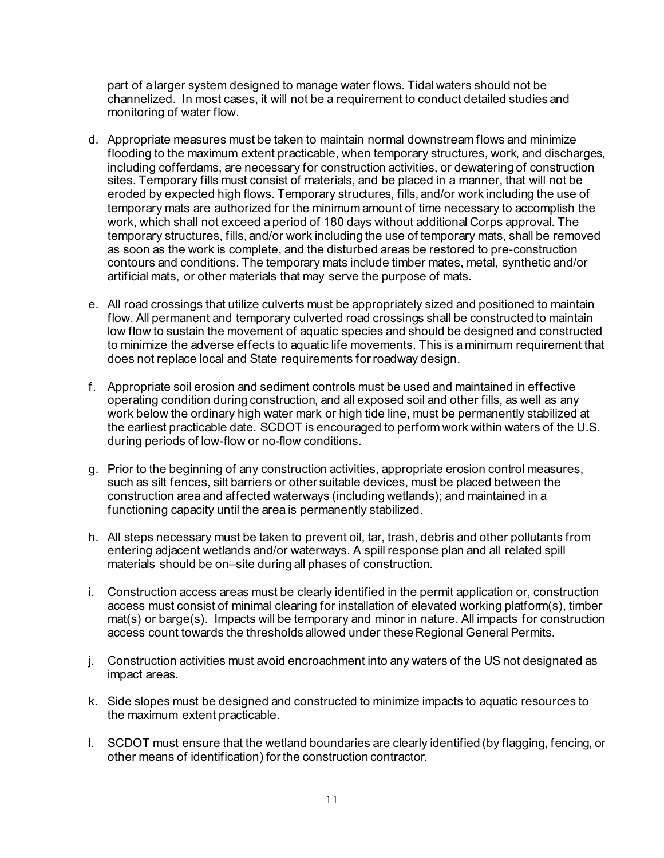part of a larger system designed to manage water flows. Tidal waters should not be channelized. In most cases, it will not be a requirement to conduct detailed studies and monitoring of water flow.

- d. Appropriate measures must be taken to maintain normal downstream flows and minimize flooding to the maximum extent practicable, when temporary structures, work, and discharges, including cofferdams, are necessary for construction activities, or dewatering of construction sites. Temporary fills must consist of materials, and be placed in a manner, that will not be eroded by expected high flows. Temporary structures, fills, and/or work including the use of temporary mats are authorized for the minimum amount of time necessary to accomplish the work, which shall not exceed a period of 180 days without additional Corps approval. The temporary structures, fills, and/or work including the use of temporary mats, shall be removed as soon as the work is complete, and the disturbed areas be restored to pre-construction contours and conditions. The temporary mats include timber mates, metal, synthetic and/or artificial mats, or other materials that may serve the purpose of mats.
- e. All road crossings that utilize culverts must be appropriately sized and positioned to maintain flow. All permanent and temporary culverted road crossings shall be constructed to maintain low flow to sustain the movement of aquatic species and should be designed and constructed to minimize the adverse effects to aquatic life movements. This is a minimum requirement that does not replace local and State requirements for roadway design.
- f. Appropriate soil erosion and sediment controls must be used and maintained in effective operating condition during construction, and all exposed soil and other fills, as well as any work below the ordinary high water mark or high tide line, must be permanently stabilized at the earliest practicable date. SCDOT is encouraged to perform work within waters of the U.S. during periods of low-flow or no-flow conditions.
- g. Prior to the beginning of any construction activities, appropriate erosion control measures, such as silt fences, silt barriers or other suitable devices, must be placed between the construction area and affected waterways (including wetlands); and maintained in a functioning capacity until the area is permanently stabilized.
- h. All steps necessary must be taken to prevent oil, tar, trash, debris and other pollutants from entering adjacent wetlands and/or waterways. A spill response plan and all related spill materials should be on–site during all phases of construction.
- i. Construction access areas must be clearly identified in the permit application or, construction access must consist of minimal clearing for installation of elevated working platform(s), timber mat(s) or barge(s). Impacts will be temporary and minor in nature. All impacts for construction access count towards the thresholds allowed under these Regional General Permits.
- j. Construction activities must avoid encroachment into any waters of the US not designated as impact areas.
- k. Side slopes must be designed and constructed to minimize impacts to aquatic resources to the maximum extent practicable.
- l. SCDOT must ensure that the wetland boundaries are clearly identified (by flagging, fencing, or other means of identification) for the construction contractor.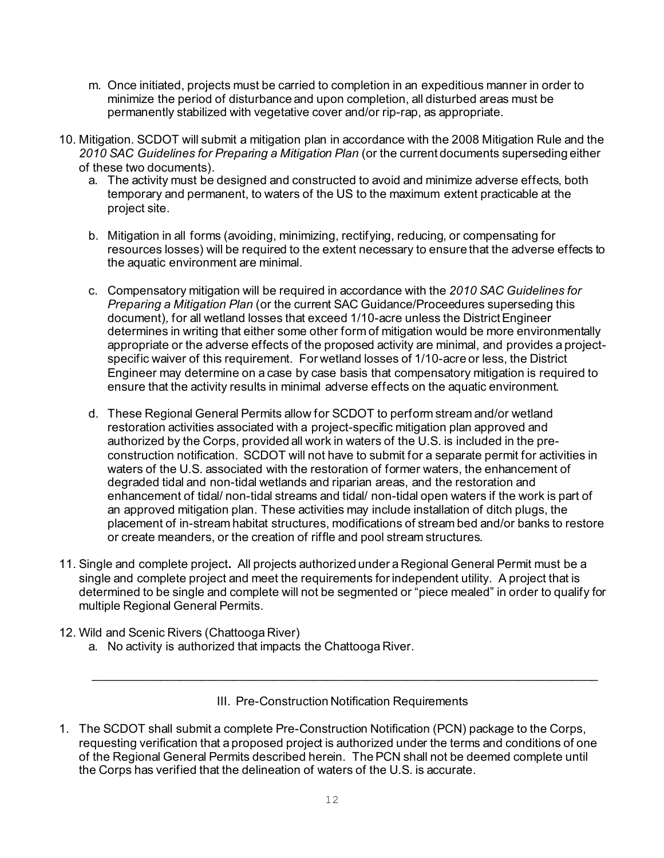- m. Once initiated, projects must be carried to completion in an expeditious manner in order to minimize the period of disturbance and upon completion, all disturbed areas must be permanently stabilized with vegetative cover and/or rip-rap, as appropriate.
- 10. Mitigation. SCDOT will submit a mitigation plan in accordance with the 2008 Mitigation Rule and the 2010 SAC Guidelines for Preparing a Mitigation Plan (or the current documents superseding either of these two documents).
	- a. The activity must be designed and constructed to avoid and minimize adverse effects, both temporary and permanent, to waters of the US to the maximum extent practicable at the project site.
	- b. Mitigation in all forms (avoiding, minimizing, rectifying, reducing, or compensating for resources losses) will be required to the extent necessary to ensure that the adverse effects to the aquatic environment are minimal.
	- c. Compensatory mitigation will be required in accordance with the *2010 SAC Guidelines for Preparing a Mitigation Plan* (or the current SAC Guidance/Proceedures superseding this document)*,* for all wetland losses that exceed 1/10-acre unless the District Engineer determines in writing that either some other form of mitigation would be more environmentally appropriate or the adverse effects of the proposed activity are minimal, and provides a projectspecific waiver of this requirement. For wetland losses of 1/10-acre or less, the District Engineer may determine on a case by case basis that compensatory mitigation is required to ensure that the activity results in minimal adverse effects on the aquatic environment.
	- d. These Regional General Permits allow for SCDOT to perform stream and/or wetland restoration activities associated with a project-specific mitigation plan approved and authorized by the Corps, provided all work in waters of the U.S. is included in the preconstruction notification. SCDOT will not have to submit for a separate permit for activities in waters of the U.S. associated with the restoration of former waters, the enhancement of degraded tidal and non-tidal wetlands and riparian areas, and the restoration and enhancement of tidal/ non-tidal streams and tidal/ non-tidal open waters if the work is part of an approved mitigation plan. These activities may include installation of ditch plugs, the placement of in-stream habitat structures, modifications of stream bed and/or banks to restore or create meanders, or the creation of riffle and pool stream structures.
- 11. Single and complete project**.** All projects authorized under a Regional General Permit must be a single and complete project and meet the requirements for independent utility. A project that is determined to be single and complete will not be segmented or "piece mealed" in order to qualify for multiple Regional General Permits.
- 12. Wild and Scenic Rivers (Chattooga River)
	- a. No activity is authorized that impacts the Chattooga River.

\_\_\_\_\_\_\_\_\_\_\_\_\_\_\_\_\_\_\_\_\_\_\_\_\_\_\_\_\_\_\_\_\_\_\_\_\_\_\_\_\_\_\_\_\_\_\_\_\_\_\_\_\_\_\_\_\_\_\_\_\_\_\_\_\_\_\_\_\_\_\_\_\_\_\_\_

1. The SCDOT shall submit a complete Pre-Construction Notification (PCN) package to the Corps, requesting verification that a proposed project is authorized under the terms and conditions of one of the Regional General Permits described herein. The PCN shall not be deemed complete until the Corps has verified that the delineation of waters of the U.S. is accurate.

III. Pre-Construction Notification Requirements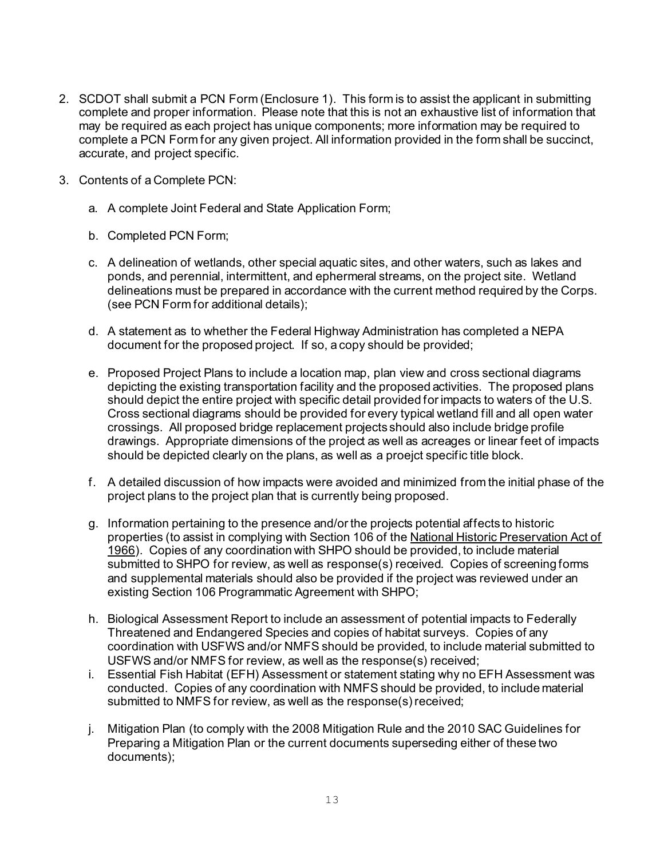- 2. SCDOT shall submit a PCN Form (Enclosure 1). This form is to assist the applicant in submitting complete and proper information. Please note that this is not an exhaustive list of information that may be required as each project has unique components; more information may be required to complete a PCN Form for any given project. All information provided in the form shall be succinct, accurate, and project specific.
- 3. Contents of a Complete PCN:
	- a. A complete Joint Federal and State Application Form;
	- b. Completed PCN Form;
	- c. A delineation of wetlands, other special aquatic sites, and other waters, such as lakes and ponds, and perennial, intermittent, and ephermeral streams, on the project site. Wetland delineations must be prepared in accordance with the current method required by the Corps. (see PCN Form for additional details);
	- d. A statement as to whether the Federal Highway Administration has completed a NEPA document for the proposed project. If so, a copy should be provided;
	- e. Proposed Project Plans to include a location map, plan view and cross sectional diagrams depicting the existing transportation facility and the proposed activities. The proposed plans should depict the entire project with specific detail provided for impacts to waters of the U.S. Cross sectional diagrams should be provided for every typical wetland fill and all open water crossings. All proposed bridge replacement projects should also include bridge profile drawings. Appropriate dimensions of the project as well as acreages or linear feet of impacts should be depicted clearly on the plans, as well as a proejct specific title block.
	- f. A detailed discussion of how impacts were avoided and minimized from the initial phase of the project plans to the project plan that is currently being proposed.
	- g. Information pertaining to the presence and/or the projects potential affects to historic properties (to assist in complying with Section 106 of th[e National Historic Preservation Act of](http://www.achp.gov/nhpa.html) [1966\)](http://www.achp.gov/nhpa.html). Copies of any coordination with SHPO should be provided, to include material submitted to SHPO for review, as well as response(s) received. Copies of screening forms and supplemental materials should also be provided if the project was reviewed under an existing Section 106 Programmatic Agreement with SHPO;
	- h. Biological Assessment Report to include an assessment of potential impacts to Federally Threatened and Endangered Species and copies of habitat surveys. Copies of any coordination with USFWS and/or NMFS should be provided, to include material submitted to USFWS and/or NMFS for review, as well as the response(s) received;
	- i. Essential Fish Habitat (EFH) Assessment or statement stating why no EFH Assessment was conducted. Copies of any coordination with NMFS should be provided, to include material submitted to NMFS for review, as well as the response(s) received;
	- j. Mitigation Plan (to comply with the 2008 Mitigation Rule and the 2010 SAC Guidelines for Preparing a Mitigation Plan or the current documents superseding either of these two documents);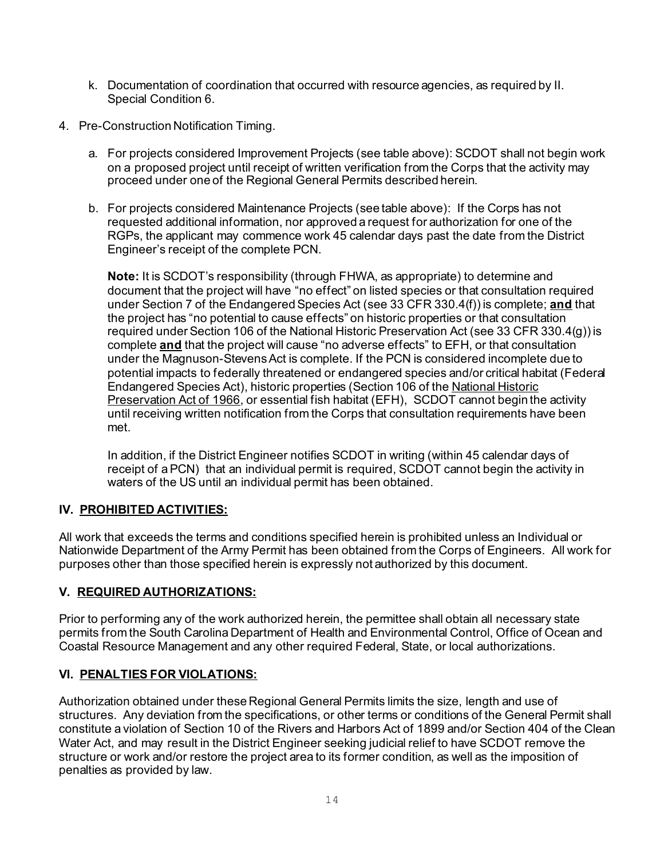- k. Documentation of coordination that occurred with resource agencies, as required by II. Special Condition 6.
- 4. Pre-Construction Notification Timing.
	- a. For projects considered Improvement Projects (see table above): SCDOT shall not begin work on a proposed project until receipt of written verification from the Corps that the activity may proceed under one of the Regional General Permits described herein.
	- b. For projects considered Maintenance Projects (see table above): If the Corps has not requested additional information, nor approved a request for authorization for one of the RGPs, the applicant may commence work 45 calendar days past the date from the District Engineer's receipt of the complete PCN.

**Note:** It is SCDOT's responsibility (through FHWA, as appropriate) to determine and document that the project will have "no effect" on listed species or that consultation required under Section 7 of the Endangered Species Act (see 33 CFR 330.4(f)) is complete; **and** that the project has "no potential to cause effects" on historic properties or that consultation required under Section 106 of the National Historic Preservation Act (see 33 CFR 330.4(g)) is complete **and** that the project will cause "no adverse effects" to EFH, or that consultation under the Magnuson-Stevens Act is complete. If the PCN is considered incomplete due to potential impacts to federally threatened or endangered species and/or critical habitat (Federal Endangered Species Act), historic properties (Section 106 of th[e National Historic](http://www.achp.gov/nhpa.html) [Preservation Act of 1966,](http://www.achp.gov/nhpa.html) or essential fish habitat (EFH), SCDOT cannot begin the activity until receiving written notification from the Corps that consultation requirements have been met.

In addition, if the District Engineer notifies SCDOT in writing (within 45 calendar days of receipt of a PCN) that an individual permit is required, SCDOT cannot begin the activity in waters of the US until an individual permit has been obtained.

# **IV. PROHIBITED ACTIVITIES:**

All work that exceeds the terms and conditions specified herein is prohibited unless an Individual or Nationwide Department of the Army Permit has been obtained from the Corps of Engineers. All work for purposes other than those specified herein is expressly not authorized by this document.

## **V. REQUIRED AUTHORIZATIONS:**

Prior to performing any of the work authorized herein, the permittee shall obtain all necessary state permits from the South Carolina Department of Health and Environmental Control, Office of Ocean and Coastal Resource Management and any other required Federal, State, or local authorizations.

## **VI. PENALTIES FOR VIOLATIONS:**

Authorization obtained under these Regional General Permits limits the size, length and use of structures. Any deviation from the specifications, or other terms or conditions of the General Permit shall constitute a violation of Section 10 of the Rivers and Harbors Act of 1899 and/or Section 404 of the Clean Water Act, and may result in the District Engineer seeking judicial relief to have SCDOT remove the structure or work and/or restore the project area to its former condition, as well as the imposition of penalties as provided by law.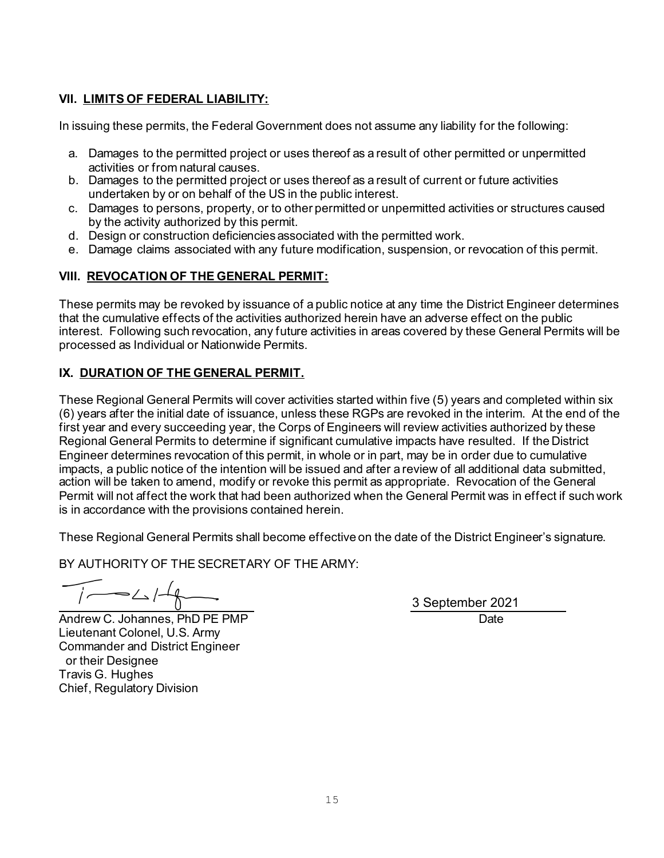## **VII. LIMITS OF FEDERAL LIABILITY:**

In issuing these permits, the Federal Government does not assume any liability for the following:

- a. Damages to the permitted project or uses thereof as a result of other permitted or unpermitted activities or from natural causes.
- b. Damages to the permitted project or uses thereof as a result of current or future activities undertaken by or on behalf of the US in the public interest.
- c. Damages to persons, property, or to other permitted or unpermitted activities or structures caused by the activity authorized by this permit.
- d. Design or construction deficiencies associated with the permitted work.
- e. Damage claims associated with any future modification, suspension, or revocation of this permit.

# **VIII. REVOCATION OF THE GENERAL PERMIT:**

These permits may be revoked by issuance of a public notice at any time the District Engineer determines that the cumulative effects of the activities authorized herein have an adverse effect on the public interest. Following such revocation, any future activities in areas covered by these General Permits will be processed as Individual or Nationwide Permits.

## **IX. DURATION OF THE GENERAL PERMIT.**

These Regional General Permits will cover activities started within five (5) years and completed within six (6) years after the initial date of issuance, unless these RGPs are revoked in the interim. At the end of the first year and every succeeding year, the Corps of Engineers will review activities authorized by these Regional General Permits to determine if significant cumulative impacts have resulted. If the District Engineer determines revocation of this permit, in whole or in part, may be in order due to cumulative impacts, a public notice of the intention will be issued and after a review of all additional data submitted, action will be taken to amend, modify or revoke this permit as appropriate. Revocation of the General Permit will not affect the work that had been authorized when the General Permit was in effect if such work is in accordance with the provisions contained herein.

These Regional General Permits shall become effective on the date of the District Engineer's signature.

BY AUTHORITY OF THE SECRETARY OF THE ARMY:

 $\sqrt{1-\frac{2}{\pi}}$ 

Andrew C. Johannes, PhD PE PMP DATE: Notice that the Contract of the Cate Lieutenant Colonel, U.S. Army Commander and District Engineer or their Designee Travis G. Hughes Chief, Regulatory Division

3 September 2021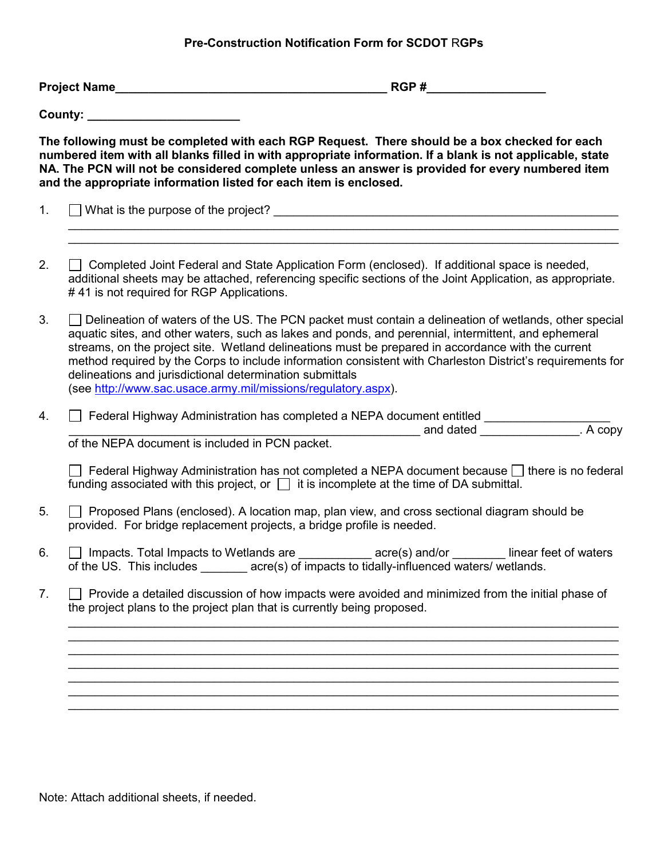#### **Pre-Construction Notification Form for SCDOT** R**GPs**

**Project Name Department of the set of the set of the SNS P and SNS P and SNS P and SNS P and SNS P and SNS P and SNS P and SNS P and SNS P and SNS P and SNS P and SNS P and SNS P and SNS P and SNS P and SNS P and SNS P** 

**County: \_\_\_\_\_\_\_\_\_\_\_\_\_\_\_\_\_\_\_\_\_\_\_**

**The following must be completed with each RGP Request. There should be a box checked for each numbered item with all blanks filled in with appropriate information. If a blank is not applicable, state NA. The PCN will not be considered complete unless an answer is provided for every numbered item and the appropriate information listed for each item is enclosed.**

- 1.  $\Box$  What is the purpose of the project?  $\Box$
- 2.  $\Box$  Completed Joint Federal and State Application Form (enclosed). If additional space is needed, □ Completed John Federal and State Application Form (enclosed). In additional space is needed,<br>additional sheets may be attached, referencing specific sections of the Joint Application, as appropriate. #41 is not required for RGP Applications.

 $\mathcal{L}_\mathcal{L} = \{ \mathcal{L}_\mathcal{L} = \{ \mathcal{L}_\mathcal{L} = \{ \mathcal{L}_\mathcal{L} = \{ \mathcal{L}_\mathcal{L} = \{ \mathcal{L}_\mathcal{L} = \{ \mathcal{L}_\mathcal{L} = \{ \mathcal{L}_\mathcal{L} = \{ \mathcal{L}_\mathcal{L} = \{ \mathcal{L}_\mathcal{L} = \{ \mathcal{L}_\mathcal{L} = \{ \mathcal{L}_\mathcal{L} = \{ \mathcal{L}_\mathcal{L} = \{ \mathcal{L}_\mathcal{L} = \{ \mathcal{L}_\mathcal{$  $\mathcal{L}_\mathcal{L} = \{ \mathcal{L}_\mathcal{L} = \{ \mathcal{L}_\mathcal{L} = \{ \mathcal{L}_\mathcal{L} = \{ \mathcal{L}_\mathcal{L} = \{ \mathcal{L}_\mathcal{L} = \{ \mathcal{L}_\mathcal{L} = \{ \mathcal{L}_\mathcal{L} = \{ \mathcal{L}_\mathcal{L} = \{ \mathcal{L}_\mathcal{L} = \{ \mathcal{L}_\mathcal{L} = \{ \mathcal{L}_\mathcal{L} = \{ \mathcal{L}_\mathcal{L} = \{ \mathcal{L}_\mathcal{L} = \{ \mathcal{L}_\mathcal{$ 

3.  $\Box$  Delineation of waters of the US. The PCN packet must contain a delineation of wetlands, other special □ Demieation of waters of the OO. The FOR packet must contain a demieation of weitands, other sp<br>aquatic sites, and other waters, such as lakes and ponds, and perennial, intermittent, and ephemeral streams, on the project site. Wetland delineations must be prepared in accordance with the current method required by the Corps to include information consistent with Charleston District's requirements for delineations and jurisdictional determination submittals (see [http://www.sac.usace.army.mil/missions/regulatory.aspx\)](http://www.sac.usace.army.mil/missions/regulatory.aspx).

| Federal Highway Administration has completed a NEPA document entitled |        |
|-----------------------------------------------------------------------|--------|
| and dated                                                             | A copy |

of the NEPA document is included in PCN packet.

 $\Box$  Federal Highway Administration has not completed a NEPA document because  $\Box$  there is no federal  $\Box$  Tederal Filghway Administration has not completed a NCPA document because  $\Box$  it funding associated with this project, or  $\Box$  it is incomplete at the time of DA submittal.

- 5.  $\Box$  Proposed Plans (enclosed). A location map, plan view, and cross sectional diagram should be □ Troposed Flans (enclosed). A location map, plan view, and cross<br>provided. For bridge replacement projects, a bridge profile is needed.
- 6.  $\Box$  Impacts. Total Impacts to Wetlands are  $\Box$  acre(s) and/or  $\Box$  linear feet of waters □ impacts. Total impacts to wetlands are <u>\_\_\_\_\_\_\_\_\_\_\_\_</u> acre(s) and/or \_\_\_\_\_\_\_\_ infear if<br>of the US. This includes \_\_\_\_\_\_\_\_ acre(s) of impacts to tidally-influenced waters/ wetlands.
- 7.  $\Box$  Provide a detailed discussion of how impacts were avoided and minimized from the initial phase of  $\Box$  Frovide a detailed discussion of now impacts were avoided and reference and representation of the project plans to the project plan that is currently being proposed.